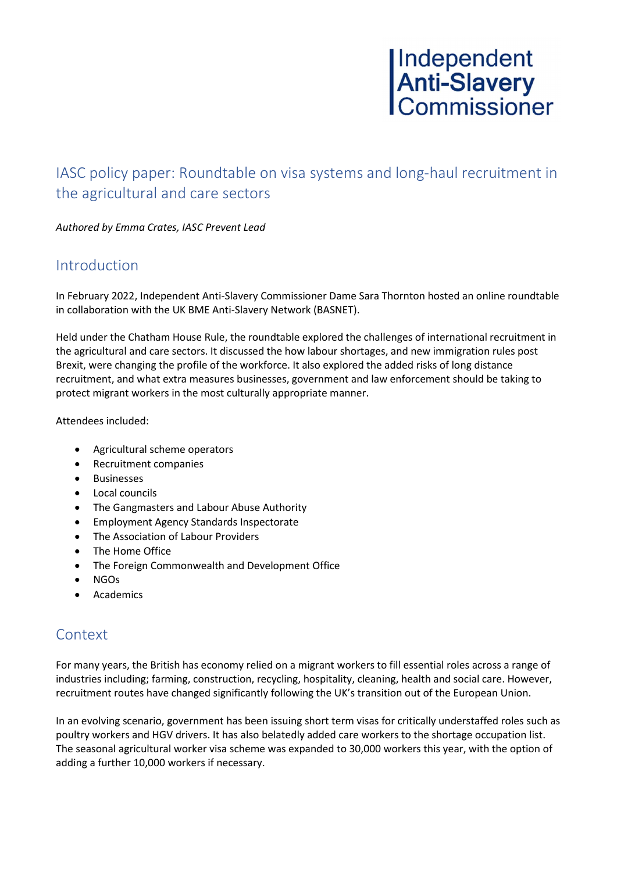## IASC policy paper: Roundtable on visa systems and long-haul recruitment in the agricultural and care sectors

Authored by Emma Crates, IASC Prevent Lead

## Introduction

In February 2022, Independent Anti-Slavery Commissioner Dame Sara Thornton hosted an online roundtable in collaboration with the UK BME Anti-Slavery Network (BASNET).

Held under the Chatham House Rule, the roundtable explored the challenges of international recruitment in the agricultural and care sectors. It discussed the how labour shortages, and new immigration rules post Brexit, were changing the profile of the workforce. It also explored the added risks of long distance recruitment, and what extra measures businesses, government and law enforcement should be taking to protect migrant workers in the most culturally appropriate manner.

Attendees included:

- Agricultural scheme operators
- Recruitment companies
- **•** Businesses
- Local councils
- The Gangmasters and Labour Abuse Authority
- Employment Agency Standards Inspectorate
- The Association of Labour Providers
- The Home Office
- The Foreign Commonwealth and Development Office
- NGOs
- Academics

## **Context**

For many years, the British has economy relied on a migrant workers to fill essential roles across a range of industries including; farming, construction, recycling, hospitality, cleaning, health and social care. However, recruitment routes have changed significantly following the UK's transition out of the European Union.

In an evolving scenario, government has been issuing short term visas for critically understaffed roles such as poultry workers and HGV drivers. It has also belatedly added care workers to the shortage occupation list. The seasonal agricultural worker visa scheme was expanded to 30,000 workers this year, with the option of adding a further 10,000 workers if necessary.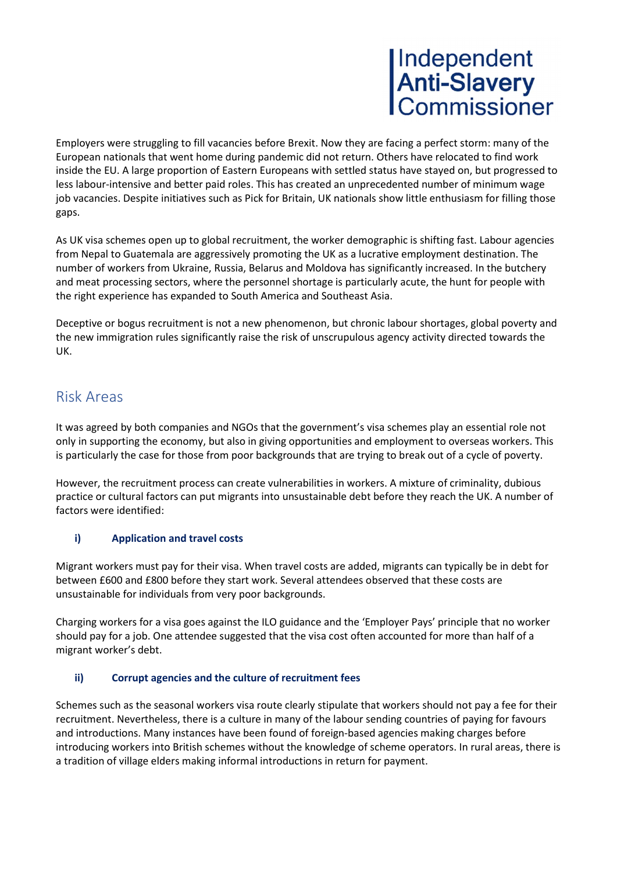Employers were struggling to fill vacancies before Brexit. Now they are facing a perfect storm: many of the European nationals that went home during pandemic did not return. Others have relocated to find work inside the EU. A large proportion of Eastern Europeans with settled status have stayed on, but progressed to less labour-intensive and better paid roles. This has created an unprecedented number of minimum wage job vacancies. Despite initiatives such as Pick for Britain, UK nationals show little enthusiasm for filling those gaps.

As UK visa schemes open up to global recruitment, the worker demographic is shifting fast. Labour agencies from Nepal to Guatemala are aggressively promoting the UK as a lucrative employment destination. The number of workers from Ukraine, Russia, Belarus and Moldova has significantly increased. In the butchery and meat processing sectors, where the personnel shortage is particularly acute, the hunt for people with the right experience has expanded to South America and Southeast Asia.

Deceptive or bogus recruitment is not a new phenomenon, but chronic labour shortages, global poverty and the new immigration rules significantly raise the risk of unscrupulous agency activity directed towards the UK.

## Risk Areas

It was agreed by both companies and NGOs that the government's visa schemes play an essential role not only in supporting the economy, but also in giving opportunities and employment to overseas workers. This is particularly the case for those from poor backgrounds that are trying to break out of a cycle of poverty.

However, the recruitment process can create vulnerabilities in workers. A mixture of criminality, dubious practice or cultural factors can put migrants into unsustainable debt before they reach the UK. A number of factors were identified:

## i) Application and travel costs

Migrant workers must pay for their visa. When travel costs are added, migrants can typically be in debt for between £600 and £800 before they start work. Several attendees observed that these costs are unsustainable for individuals from very poor backgrounds.

Charging workers for a visa goes against the ILO guidance and the 'Employer Pays' principle that no worker should pay for a job. One attendee suggested that the visa cost often accounted for more than half of a migrant worker's debt.

## ii) Corrupt agencies and the culture of recruitment fees

Schemes such as the seasonal workers visa route clearly stipulate that workers should not pay a fee for their recruitment. Nevertheless, there is a culture in many of the labour sending countries of paying for favours and introductions. Many instances have been found of foreign-based agencies making charges before introducing workers into British schemes without the knowledge of scheme operators. In rural areas, there is a tradition of village elders making informal introductions in return for payment.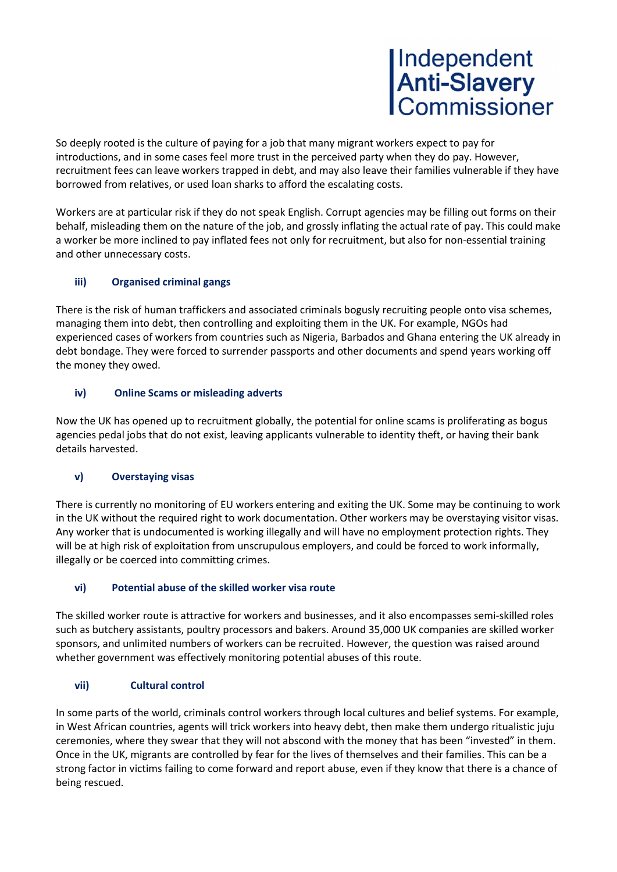So deeply rooted is the culture of paying for a job that many migrant workers expect to pay for introductions, and in some cases feel more trust in the perceived party when they do pay. However, recruitment fees can leave workers trapped in debt, and may also leave their families vulnerable if they have borrowed from relatives, or used loan sharks to afford the escalating costs.

Workers are at particular risk if they do not speak English. Corrupt agencies may be filling out forms on their behalf, misleading them on the nature of the job, and grossly inflating the actual rate of pay. This could make a worker be more inclined to pay inflated fees not only for recruitment, but also for non-essential training and other unnecessary costs.

## iii) Organised criminal gangs

There is the risk of human traffickers and associated criminals bogusly recruiting people onto visa schemes, managing them into debt, then controlling and exploiting them in the UK. For example, NGOs had experienced cases of workers from countries such as Nigeria, Barbados and Ghana entering the UK already in debt bondage. They were forced to surrender passports and other documents and spend years working off the money they owed.

## iv) Online Scams or misleading adverts

Now the UK has opened up to recruitment globally, the potential for online scams is proliferating as bogus agencies pedal jobs that do not exist, leaving applicants vulnerable to identity theft, or having their bank details harvested.

## v) Overstaying visas

There is currently no monitoring of EU workers entering and exiting the UK. Some may be continuing to work in the UK without the required right to work documentation. Other workers may be overstaying visitor visas. Any worker that is undocumented is working illegally and will have no employment protection rights. They will be at high risk of exploitation from unscrupulous employers, and could be forced to work informally, illegally or be coerced into committing crimes.

## vi) Potential abuse of the skilled worker visa route

The skilled worker route is attractive for workers and businesses, and it also encompasses semi-skilled roles such as butchery assistants, poultry processors and bakers. Around 35,000 UK companies are skilled worker sponsors, and unlimited numbers of workers can be recruited. However, the question was raised around whether government was effectively monitoring potential abuses of this route.

## vii) Cultural control

In some parts of the world, criminals control workers through local cultures and belief systems. For example, in West African countries, agents will trick workers into heavy debt, then make them undergo ritualistic juju ceremonies, where they swear that they will not abscond with the money that has been "invested" in them. Once in the UK, migrants are controlled by fear for the lives of themselves and their families. This can be a strong factor in victims failing to come forward and report abuse, even if they know that there is a chance of being rescued.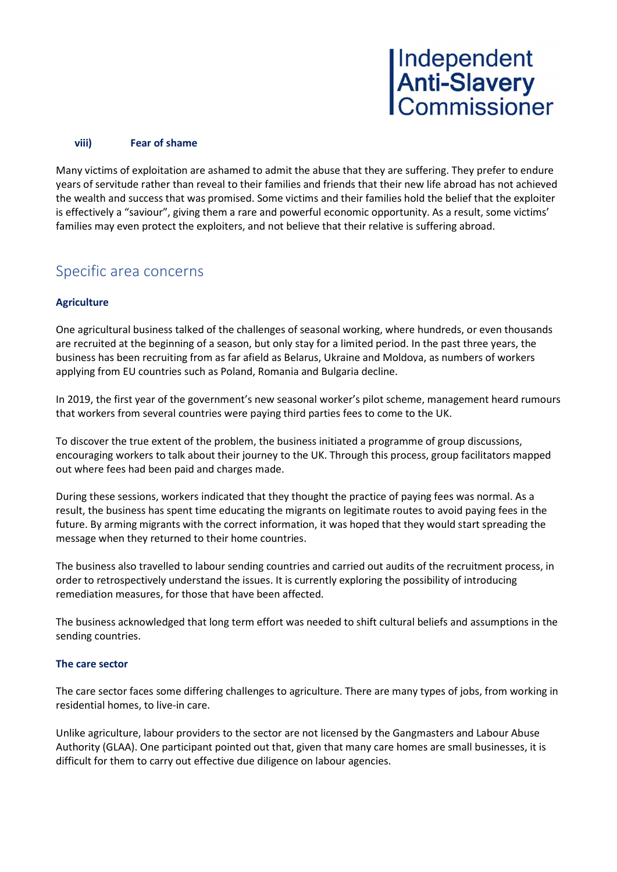#### viii) Fear of shame

Many victims of exploitation are ashamed to admit the abuse that they are suffering. They prefer to endure years of servitude rather than reveal to their families and friends that their new life abroad has not achieved the wealth and success that was promised. Some victims and their families hold the belief that the exploiter is effectively a "saviour", giving them a rare and powerful economic opportunity. As a result, some victims' families may even protect the exploiters, and not believe that their relative is suffering abroad.

## Specific area concerns

## **Agriculture**

One agricultural business talked of the challenges of seasonal working, where hundreds, or even thousands are recruited at the beginning of a season, but only stay for a limited period. In the past three years, the business has been recruiting from as far afield as Belarus, Ukraine and Moldova, as numbers of workers applying from EU countries such as Poland, Romania and Bulgaria decline.

In 2019, the first year of the government's new seasonal worker's pilot scheme, management heard rumours that workers from several countries were paying third parties fees to come to the UK.

To discover the true extent of the problem, the business initiated a programme of group discussions, encouraging workers to talk about their journey to the UK. Through this process, group facilitators mapped out where fees had been paid and charges made.

During these sessions, workers indicated that they thought the practice of paying fees was normal. As a result, the business has spent time educating the migrants on legitimate routes to avoid paying fees in the future. By arming migrants with the correct information, it was hoped that they would start spreading the message when they returned to their home countries.

The business also travelled to labour sending countries and carried out audits of the recruitment process, in order to retrospectively understand the issues. It is currently exploring the possibility of introducing remediation measures, for those that have been affected.

The business acknowledged that long term effort was needed to shift cultural beliefs and assumptions in the sending countries.

#### The care sector

The care sector faces some differing challenges to agriculture. There are many types of jobs, from working in residential homes, to live-in care.

Unlike agriculture, labour providers to the sector are not licensed by the Gangmasters and Labour Abuse Authority (GLAA). One participant pointed out that, given that many care homes are small businesses, it is difficult for them to carry out effective due diligence on labour agencies.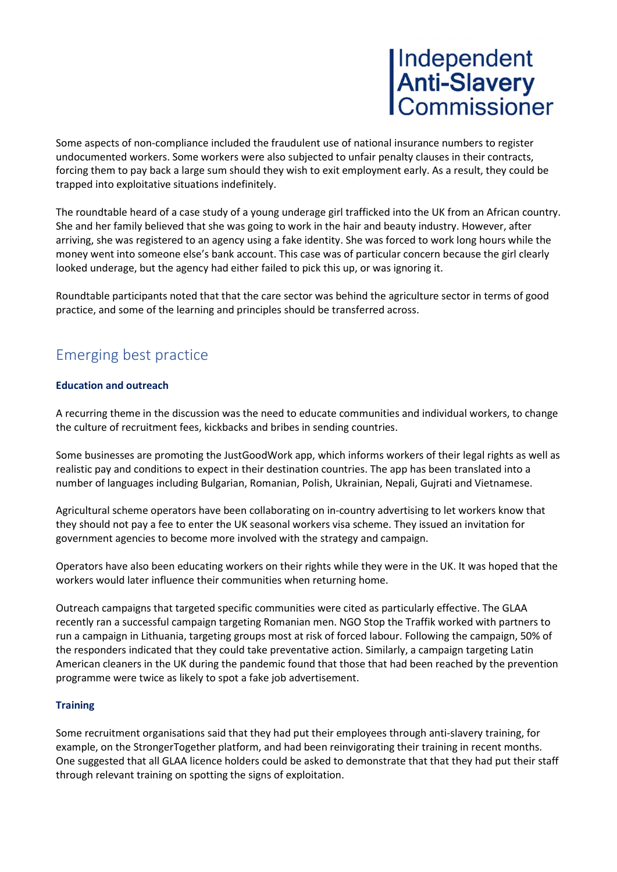Some aspects of non-compliance included the fraudulent use of national insurance numbers to register undocumented workers. Some workers were also subjected to unfair penalty clauses in their contracts, forcing them to pay back a large sum should they wish to exit employment early. As a result, they could be trapped into exploitative situations indefinitely.

The roundtable heard of a case study of a young underage girl trafficked into the UK from an African country. She and her family believed that she was going to work in the hair and beauty industry. However, after arriving, she was registered to an agency using a fake identity. She was forced to work long hours while the money went into someone else's bank account. This case was of particular concern because the girl clearly looked underage, but the agency had either failed to pick this up, or was ignoring it.

Roundtable participants noted that that the care sector was behind the agriculture sector in terms of good practice, and some of the learning and principles should be transferred across.

## Emerging best practice

## Education and outreach

A recurring theme in the discussion was the need to educate communities and individual workers, to change the culture of recruitment fees, kickbacks and bribes in sending countries.

Some businesses are promoting the JustGoodWork app, which informs workers of their legal rights as well as realistic pay and conditions to expect in their destination countries. The app has been translated into a number of languages including Bulgarian, Romanian, Polish, Ukrainian, Nepali, Gujrati and Vietnamese.

Agricultural scheme operators have been collaborating on in-country advertising to let workers know that they should not pay a fee to enter the UK seasonal workers visa scheme. They issued an invitation for government agencies to become more involved with the strategy and campaign.

Operators have also been educating workers on their rights while they were in the UK. It was hoped that the workers would later influence their communities when returning home.

Outreach campaigns that targeted specific communities were cited as particularly effective. The GLAA recently ran a successful campaign targeting Romanian men. NGO Stop the Traffik worked with partners to run a campaign in Lithuania, targeting groups most at risk of forced labour. Following the campaign, 50% of the responders indicated that they could take preventative action. Similarly, a campaign targeting Latin American cleaners in the UK during the pandemic found that those that had been reached by the prevention programme were twice as likely to spot a fake job advertisement.

#### **Training**

Some recruitment organisations said that they had put their employees through anti-slavery training, for example, on the StrongerTogether platform, and had been reinvigorating their training in recent months. One suggested that all GLAA licence holders could be asked to demonstrate that that they had put their staff through relevant training on spotting the signs of exploitation.